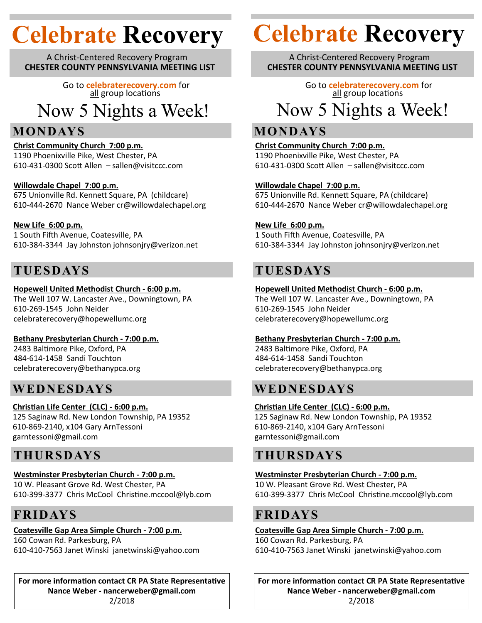A Christ-Centered Recovery Program **CHESTER COUNTY PENNSYLVANIA MEETING LIST**

> Go to **celebraterecovery.com** for all group locations

Now 5 Nights a Week!

# **MONDAYS**

**Christ Community Church 7:00 p.m.** 1190 Phoenixville Pike, West Chester, PA 610-431-0300 Scott Allen – sallen@visitccc.com

#### **Willowdale Chapel 7:00 p.m.**

675 Unionville Rd. Kennett Square, PA (childcare) 610-444-2670 Nance Weber cr@willowdalechapel.org

#### **New Life 6:00 p.m.**

1 South Fifth Avenue, Coatesville, PA 610-384-3344 Jay Johnston johnsonjry@verizon.net

# **TUESDAYS**

#### **Hopewell United Methodist Church - 6:00 p.m.**

The Well 107 W. Lancaster Ave., Downingtown, PA 610-269-1545 John Neider celebraterecovery@hopewellumc.org

#### **Bethany Presbyterian Church - 7:00 p.m.**

2483 Baltimore Pike, Oxford, PA 484-614-1458 Sandi Touchton celebraterecovery@bethanypca.org

# **WEDNESDAYS**

#### **Christian Life Center (CLC) - 6:00 p.m.**

125 Saginaw Rd. New London Township, PA 19352 610-869-2140, x104 Gary ArnTessoni garntessoni@gmail.com

# **THURSDAYS**

#### **Westminster Presbyterian Church - 7:00 p.m.**

10 W. Pleasant Grove Rd. West Chester, PA 610-399-3377 Chris McCool Christine.mccool@lyb.com

# **FRIDAYS**

### **Coatesville Gap Area Simple Church - 7:00 p.m.**

160 Cowan Rd. Parkesburg, PA 610-410-7563 Janet Winski janetwinski@yahoo.com

**For more information contact CR PA State Representative Nance Weber - nancerweber@gmail.com** 2/2018

# **Celebrate Recovery Celebrate Recovery**

A Christ-Centered Recovery Program **CHESTER COUNTY PENNSYLVANIA MEETING LIST**

Go to **celebraterecovery.com** for all group locations Now 5 Nights a Week!

# **MONDAYS**

#### **Christ Community Church 7:00 p.m.**

1190 Phoenixville Pike, West Chester, PA 610-431-0300 Scott Allen – sallen@visitccc.com

#### **Willowdale Chapel 7:00 p.m.**

675 Unionville Rd. Kennett Square, PA (childcare) 610-444-2670 Nance Weber cr@willowdalechapel.org

#### **New Life 6:00 p.m.**

1 South Fifth Avenue, Coatesville, PA 610-384-3344 Jay Johnston johnsonjry@verizon.net

# **TUESDAYS**

#### **Hopewell United Methodist Church - 6:00 p.m.**

The Well 107 W. Lancaster Ave., Downingtown, PA 610-269-1545 John Neider celebraterecovery@hopewellumc.org

#### **Bethany Presbyterian Church - 7:00 p.m.**

2483 Baltimore Pike, Oxford, PA 484-614-1458 Sandi Touchton celebraterecovery@bethanypca.org

# **WEDNESDAYS**

#### **Christian Life Center (CLC) - 6:00 p.m.**

125 Saginaw Rd. New London Township, PA 19352 610-869-2140, x104 Gary ArnTessoni garntessoni@gmail.com

# **THURSDAYS**

#### **Westminster Presbyterian Church - 7:00 p.m.** 10 W. Pleasant Grove Rd. West Chester, PA

610-399-3377 Chris McCool Christine.mccool@lyb.com

### **FRIDAYS**

#### **Coatesville Gap Area Simple Church - 7:00 p.m.** 160 Cowan Rd. Parkesburg, PA 610-410-7563 Janet Winski janetwinski@yahoo.com

**For more information contact CR PA State Representative Nance Weber - nancerweber@gmail.com** 2/2018